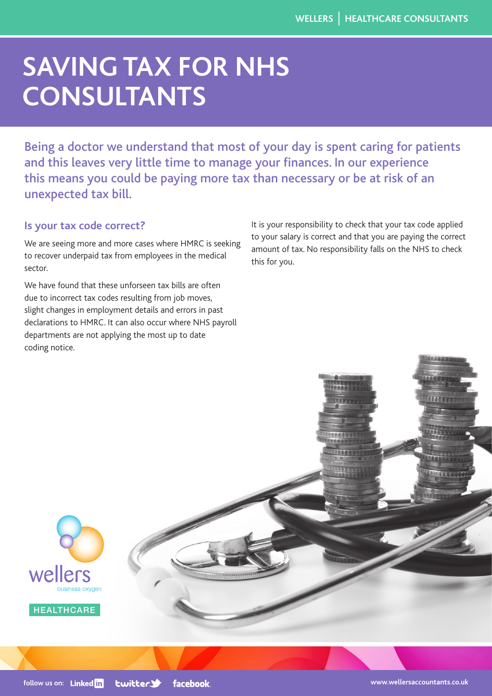# **SAVING TAX FOR NHS CONSULTANTS**

Being a doctor we understand that most of your day is spent caring for patients and this leaves very little time to manage your finances. In our experience this means you could be paying more tax than necessary or be at risk of an unexpected tax bill.

# **Is your tax code correct?**

We are seeing more and more cases where HMRC is seeking to recover underpaid tax from employees in the medical sector.

We have found that these unforseen tax bills are often due to incorrect tax codes resulting from job moves, slight changes in employment details and errors in past declarations to HMRC. It can also occur where NHS payroll departments are not applying the most up to date coding notice.

It is your responsibility to check that your tax code applied to your salary is correct and that you are paying the correct amount of tax. No responsibility falls on the NHS to check this for you.